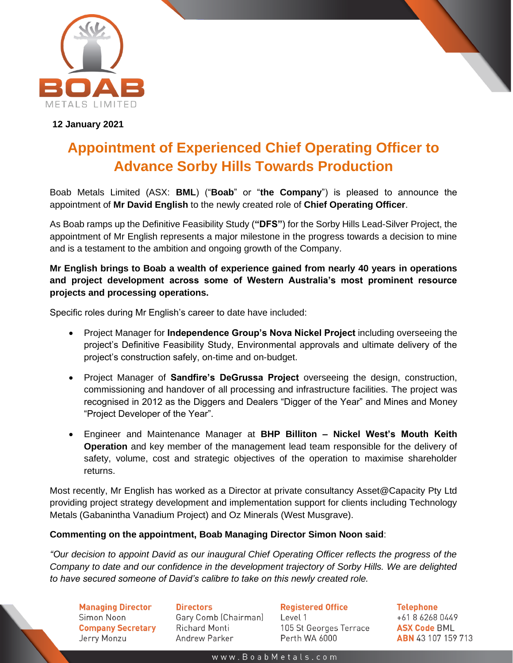

**12 January 2021**

## **Appointment of Experienced Chief Operating Officer to Advance Sorby Hills Towards Production**

Boab Metals Limited (ASX: **BML**) ("**Boab**" or "**the Company**") is pleased to announce the appointment of **Mr David English** to the newly created role of **Chief Operating Officer**.

As Boab ramps up the Definitive Feasibility Study (**"DFS"**) for the Sorby Hills Lead-Silver Project, the appointment of Mr English represents a major milestone in the progress towards a decision to mine and is a testament to the ambition and ongoing growth of the Company.

**Mr English brings to Boab a wealth of experience gained from nearly 40 years in operations and project development across some of Western Australia's most prominent resource projects and processing operations.**

Specific roles during Mr English's career to date have included:

- Project Manager for **Independence Group's Nova Nickel Project** including overseeing the project's Definitive Feasibility Study, Environmental approvals and ultimate delivery of the project's construction safely, on-time and on-budget.
- Project Manager of **Sandfire's DeGrussa Project** overseeing the design, construction, commissioning and handover of all processing and infrastructure facilities. The project was recognised in 2012 as the Diggers and Dealers "Digger of the Year" and Mines and Money "Project Developer of the Year".
- Engineer and Maintenance Manager at **BHP Billiton – Nickel West's Mouth Keith Operation** and key member of the management lead team responsible for the delivery of safety, volume, cost and strategic objectives of the operation to maximise shareholder returns.

Most recently, Mr English has worked as a Director at private consultancy Asset@Capacity Pty Ltd providing project strategy development and implementation support for clients including Technology Metals (Gabanintha Vanadium Project) and Oz Minerals (West Musgrave).

## **Commenting on the appointment, Boab Managing Director Simon Noon said**:

*"Our decision to appoint David as our inaugural Chief Operating Officer reflects the progress of the Company to date and our confidence in the development trajectory of Sorby Hills. We are delighted to have secured someone of David's calibre to take on this newly created role.* 

**Managing Director** Simon Noon **Company Secretary** Jerry Monzu

**Directors** Gary Comb (Chairman) **Richard Monti** Andrew Parker

**Registered Office** Level 1 105 St Georges Terrace Perth WA 6000

**Telephone** +61 8 6268 0449 **ASX Code BML ABN** 43 107 159 713

www.BoabMetals.com